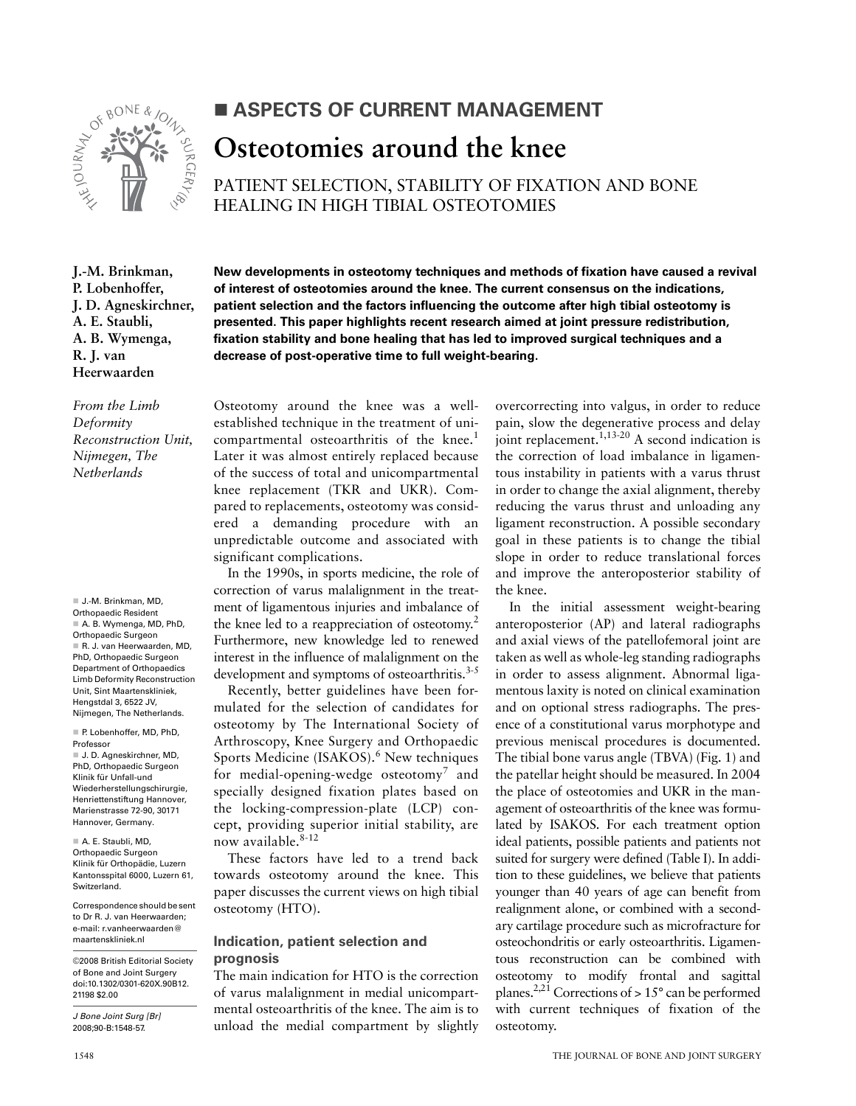

# ASPECTS OF CURRENT MANAGEMENT Osteotomies around the knee

PATIENT SELECTION, STABILITY OF FIXATION AND BONE **HEALING IN HIGH TIBIAL OSTEOTOMIES** 

New developments in osteotomy techniques and methods of fixation have caused a revival

of interest of osteotomies around the knee. The current consensus on the indications,

patient selection and the factors influencing the outcome after high tibial osteotomy is

presented. This paper highlights recent research aimed at joint pressure redistribution,

fixation stability and bone healing that has led to improved surgical techniques and a

J.-M. Brinkman, P. Lobenhoffer, J. D. Agneskirchner, A. E. Staubli, A. B. Wymenga, R. J. van Heerwaarden

From the Limb Deformity Reconstruction Unit, Nijmegen, The Netherlands

J.-M. Brinkman, MD, Orthopaedic Resident A. B. Wymenga, MD, PhD, Orthopaedic Surgeon R. J. van Heerwaarden, MD. PhD. Orthopaedic Surgeon Department of Orthopaedics **Limb Deformity Reconstruction** Unit, Sint Maartenskliniek. Hengstdal 3, 6522 JV. Nijmegen, The Netherlands.

P. Lobenhoffer, MD, PhD. Professor J. D. Agneskirchner, MD, PhD, Orthopaedic Surgeon Klinik für Unfall-und Wiederherstellungschirurgie, Henriettenstiftung Hannover, Marienstrasse 72-90, 30171 Hannover, Germany.

A. E. Staubli, MD, Orthopaedic Surgeon Klinik für Orthopädie, Luzern Kantonsspital 6000, Luzern 61, Switzerland.

Correspondence should be sent to Dr R. J. van Heerwaarden: e-mail: r.vanheerwaarden@ maartenskliniek.nl

@2008 British Editorial Society of Bone and Joint Surgery doi:10.1302/0301-620X.90B12. 21198 \$2.00

J Bone Joint Surg [Br] 2008:90-B:1548-57

Osteotomy around the knee was a wellestablished technique in the treatment of unicompartmental osteoarthritis of the knee.<sup>1</sup> Later it was almost entirely replaced because of the success of total and unicompartmental knee replacement (TKR and UKR). Compared to replacements, osteotomy was considered a demanding procedure with an unpredictable outcome and associated with significant complications.

decrease of post-operative time to full weight-bearing.

In the 1990s, in sports medicine, the role of correction of varus malalignment in the treatment of ligamentous injuries and imbalance of the knee led to a reappreciation of osteotomy.<sup>2</sup> Furthermore, new knowledge led to renewed interest in the influence of malalignment on the development and symptoms of osteoarthritis.<sup>3-5</sup>

Recently, better guidelines have been formulated for the selection of candidates for osteotomy by The International Society of Arthroscopy, Knee Surgery and Orthopaedic Sports Medicine (ISAKOS).<sup>6</sup> New techniques for medial-opening-wedge osteotomy<sup>7</sup> and specially designed fixation plates based on the locking-compression-plate (LCP) concept, providing superior initial stability, are now available.<sup>8-12</sup>

These factors have led to a trend back towards osteotomy around the knee. This paper discusses the current views on high tibial osteotomy (HTO).

## Indication, patient selection and prognosis

The main indication for HTO is the correction of varus malalignment in medial unicompartmental osteoarthritis of the knee. The aim is to unload the medial compartment by slightly overcorrecting into valgus, in order to reduce pain, slow the degenerative process and delay joint replacement.<sup>1,13-20</sup> A second indication is the correction of load imbalance in ligamentous instability in patients with a varus thrust in order to change the axial alignment, thereby reducing the varus thrust and unloading any ligament reconstruction. A possible secondary goal in these patients is to change the tibial slope in order to reduce translational forces and improve the anteroposterior stability of the knee.

In the initial assessment weight-bearing anteroposterior (AP) and lateral radiographs and axial views of the patellofemoral joint are taken as well as whole-leg standing radiographs in order to assess alignment. Abnormal ligamentous laxity is noted on clinical examination and on optional stress radiographs. The presence of a constitutional varus morphotype and previous meniscal procedures is documented. The tibial bone varus angle (TBVA) (Fig. 1) and the patellar height should be measured. In 2004 the place of osteotomies and UKR in the management of osteoarthritis of the knee was formulated by ISAKOS. For each treatment option ideal patients, possible patients and patients not suited for surgery were defined (Table I). In addition to these guidelines, we believe that patients younger than 40 years of age can benefit from realignment alone, or combined with a secondary cartilage procedure such as microfracture for osteochondritis or early osteoarthritis. Ligamentous reconstruction can be combined with osteotomy to modify frontal and sagittal planes.<sup>2,21</sup> Corrections of  $> 15^{\circ}$  can be performed with current techniques of fixation of the osteotomy.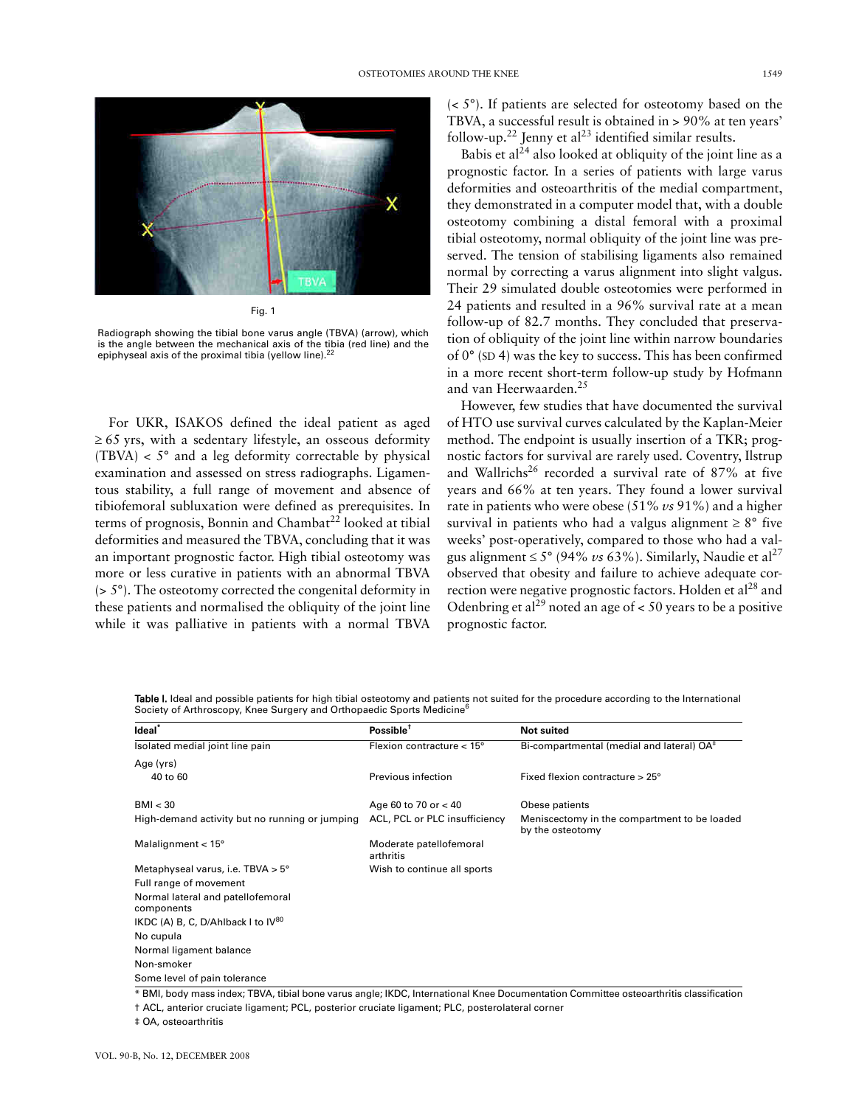

Fig. 1

Radiograph showing the tibial bone varus angle (TBVA) (arrow), which is the angle between the mechanical axis of the tibia (red line) and the epiphyseal axis of the proximal tibia (yellow line).<sup>2</sup>

For UKR, ISAKOS defined the ideal patient as aged  $\geq 65$  yrs, with a sedentary lifestyle, an osseous deformity (TBVA)  $\lt$  5° and a leg deformity correctable by physical examination and assessed on stress radiographs. Ligamentous stability, a full range of movement and absence of tibiofemoral subluxation were defined as prerequisites. In terms of prognosis, Bonnin and Chambat<sup>22</sup> looked at tibial deformities and measured the TBVA, concluding that it was an important prognostic factor. High tibial osteotomy was more or less curative in patients with an abnormal TBVA  $($  >  $5^{\circ})$ . The osteotomy corrected the congenital deformity in these patients and normalised the obliquity of the joint line while it was palliative in patients with a normal TBVA

 $( $5^{\circ}$ ). If patients are selected for osteotomy based on the$ TBVA, a successful result is obtained in > 90% at ten years' follow-up.<sup>22</sup> Jenny et al<sup>23</sup> identified similar results.

Babis et al<sup> $24$ </sup> also looked at obliquity of the joint line as a prognostic factor. In a series of patients with large varus deformities and osteoarthritis of the medial compartment, they demonstrated in a computer model that, with a double osteotomy combining a distal femoral with a proximal tibial osteotomy, normal obliquity of the joint line was preserved. The tension of stabilising ligaments also remained normal by correcting a varus alignment into slight valgus. Their 29 simulated double osteotomies were performed in 24 patients and resulted in a 96% survival rate at a mean follow-up of 82.7 months. They concluded that preservation of obliquity of the joint line within narrow boundaries of  $0^{\circ}$  (SD 4) was the key to success. This has been confirmed in a more recent short-term follow-up study by Hofmann and van Heerwaarden.<sup>25</sup>

However, few studies that have documented the survival of HTO use survival curves calculated by the Kaplan-Meier method. The endpoint is usually insertion of a TKR; prognostic factors for survival are rarely used. Coventry, Ilstrup and Wallrichs<sup>26</sup> recorded a survival rate of 87% at five years and 66% at ten years. They found a lower survival rate in patients who were obese (51% vs 91%) and a higher survival in patients who had a valgus alignment  $\geq 8^{\circ}$  five weeks' post-operatively, compared to those who had a valgus alignment  $\leq 5^{\circ}$  (94% vs 63%). Similarly, Naudie et al<sup>27</sup> observed that obesity and failure to achieve adequate correction were negative prognostic factors. Holden et al<sup>28</sup> and Odenbring et al<sup>29</sup> noted an age of < 50 years to be a positive prognostic factor.

Table I. Ideal and possible patients for high tibial osteotomy and patients not suited for the procedure according to the International Society of Arthroscopy, Knee Surgery and Orthopaedic Sports Medicine<sup>6</sup>

| Ideal <sup>*</sup>                              | Possible $†$                         | <b>Not suited</b>                                                |
|-------------------------------------------------|--------------------------------------|------------------------------------------------------------------|
| Isolated medial joint line pain                 | Flexion contracture $< 15^{\circ}$   | Bi-compartmental (medial and lateral) OA <sup>‡</sup>            |
| Age (yrs)                                       |                                      |                                                                  |
| 40 to 60                                        | Previous infection                   | Fixed flexion contracture $> 25^\circ$                           |
| BMI < 30                                        | Age 60 to 70 or $<$ 40               | Obese patients                                                   |
| High-demand activity but no running or jumping  | ACL, PCL or PLC insufficiency        | Meniscectomy in the compartment to be loaded<br>by the osteotomy |
| Malalignment $< 15^{\circ}$                     | Moderate patellofemoral<br>arthritis |                                                                  |
| Metaphyseal varus, i.e. TBVA $> 5^{\circ}$      | Wish to continue all sports          |                                                                  |
| Full range of movement                          |                                      |                                                                  |
| Normal lateral and patellofemoral<br>components |                                      |                                                                  |
| IKDC (A) B, C, D/Ahlback I to $IV^{80}$         |                                      |                                                                  |
| No cupula                                       |                                      |                                                                  |
| Normal ligament balance                         |                                      |                                                                  |
| Non-smoker                                      |                                      |                                                                  |
| Some level of pain tolerance                    |                                      |                                                                  |

\* BMI, body mass index; TBVA, tibial bone varus angle; IKDC, International Knee Documentation Committee osteoarthritis classification

† ACL, anterior cruciate ligament; PCL, posterior cruciate ligament; PLC, posterolateral corner

# OA, osteoarthritis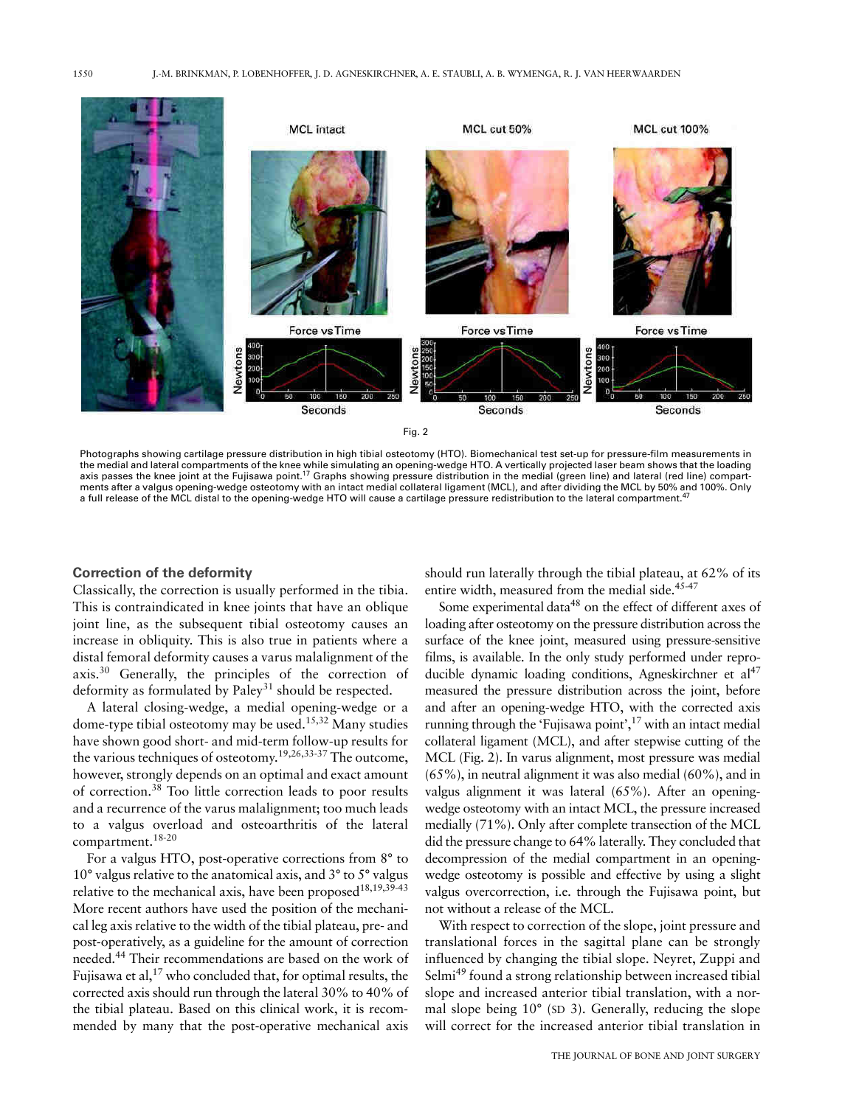

Photographs showing cartilage pressure distribution in high tibial osteotomy (HTO). Biomechanical test set-up for pressure-film measurements in the medial and lateral compartments of the knee while simulating an opening-wedge HTO. A vertically projected laser beam shows that the loading axis passes the knee joint at the Fujisawa point.<sup>17</sup> Graphs showing pressure distribution in the medial (green line) and lateral (red line) compartments after a valgus opening-wedge osteotomy with an intact medial collateral ligament (MCL), and after dividing the MCL by 50% and 100%. Only a full release of the MCL distal to the opening-wedge HTO will cause a cartilage pressure redistribution to the lateral compartment.<sup>47</sup>

#### **Correction of the deformity**

Classically, the correction is usually performed in the tibia. This is contraindicated in knee joints that have an oblique joint line, as the subsequent tibial osteotomy causes an increase in obliquity. This is also true in patients where a distal femoral deformity causes a varus malalignment of the axis.<sup>30</sup> Generally, the principles of the correction of deformity as formulated by Paley<sup>31</sup> should be respected.

A lateral closing-wedge, a medial opening-wedge or a dome-type tibial osteotomy may be used.<sup>15,32</sup> Many studies have shown good short- and mid-term follow-up results for the various techniques of osteotomy.<sup>19,26,33-37</sup> The outcome, however, strongly depends on an optimal and exact amount of correction.<sup>38</sup> Too little correction leads to poor results and a recurrence of the varus malalignment; too much leads to a valgus overload and osteoarthritis of the lateral compartment.<sup>18-20</sup>

For a valgus HTO, post-operative corrections from 8° to 10° valgus relative to the anatomical axis, and 3° to 5° valgus relative to the mechanical axis, have been proposed<sup>18,19,39-43</sup> More recent authors have used the position of the mechanical leg axis relative to the width of the tibial plateau, pre- and post-operatively, as a guideline for the amount of correction needed.<sup>44</sup> Their recommendations are based on the work of Fujisawa et al,<sup>17</sup> who concluded that, for optimal results, the corrected axis should run through the lateral 30% to 40% of the tibial plateau. Based on this clinical work, it is recommended by many that the post-operative mechanical axis

should run laterally through the tibial plateau, at 62% of its entire width, measured from the medial side.<sup>45-47</sup>

Some experimental data<sup>48</sup> on the effect of different axes of loading after osteotomy on the pressure distribution across the surface of the knee joint, measured using pressure-sensitive films, is available. In the only study performed under reproducible dynamic loading conditions, Agneskirchner et al<sup>47</sup> measured the pressure distribution across the joint, before and after an opening-wedge HTO, with the corrected axis running through the 'Fujisawa point',<sup>17</sup> with an intact medial collateral ligament (MCL), and after stepwise cutting of the MCL (Fig. 2). In varus alignment, most pressure was medial  $(65\%)$ , in neutral alignment it was also medial  $(60\%)$ , and in valgus alignment it was lateral (65%). After an openingwedge osteotomy with an intact MCL, the pressure increased medially (71%). Only after complete transection of the MCL did the pressure change to 64% laterally. They concluded that decompression of the medial compartment in an openingwedge osteotomy is possible and effective by using a slight valgus overcorrection, i.e. through the Fujisawa point, but not without a release of the MCL.

With respect to correction of the slope, joint pressure and translational forces in the sagittal plane can be strongly influenced by changing the tibial slope. Neyret, Zuppi and Selmi<sup>49</sup> found a strong relationship between increased tibial slope and increased anterior tibial translation, with a normal slope being  $10^{\circ}$  (SD 3). Generally, reducing the slope will correct for the increased anterior tibial translation in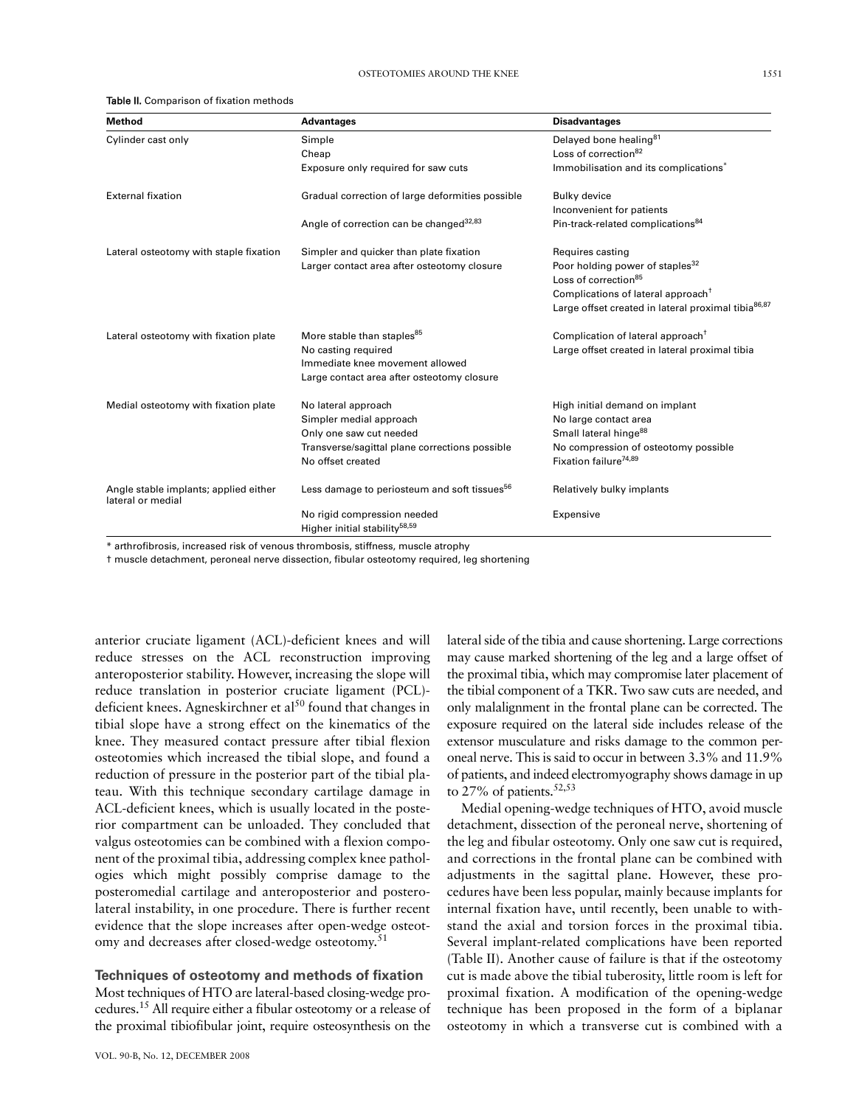#### Table II. Comparison of fixation methods

| Method                                                     | <b>Advantages</b>                                        | <b>Disadvantages</b>                                            |
|------------------------------------------------------------|----------------------------------------------------------|-----------------------------------------------------------------|
| Cylinder cast only                                         | Simple                                                   | Delayed bone healing <sup>81</sup>                              |
|                                                            | Cheap                                                    | Loss of correction <sup>82</sup>                                |
|                                                            | Exposure only required for saw cuts                      | Immobilisation and its complications <sup>*</sup>               |
| <b>External fixation</b>                                   | Gradual correction of large deformities possible         | Bulky device                                                    |
|                                                            |                                                          | Inconvenient for patients                                       |
|                                                            | Angle of correction can be changed <sup>32,83</sup>      | Pin-track-related complications <sup>84</sup>                   |
| Lateral osteotomy with staple fixation                     | Simpler and quicker than plate fixation                  | Requires casting                                                |
|                                                            | Larger contact area after osteotomy closure              | Poor holding power of staples <sup>32</sup>                     |
|                                                            |                                                          | Loss of correction <sup>85</sup>                                |
|                                                            |                                                          | Complications of lateral approach <sup>T</sup>                  |
|                                                            |                                                          | Large offset created in lateral proximal tibia <sup>86,87</sup> |
| Lateral osteotomy with fixation plate                      | More stable than staples <sup>85</sup>                   | Complication of lateral approach <sup>+</sup>                   |
|                                                            | No casting required                                      | Large offset created in lateral proximal tibia                  |
|                                                            | Immediate knee movement allowed                          |                                                                 |
|                                                            | Large contact area after osteotomy closure               |                                                                 |
| Medial osteotomy with fixation plate                       | No lateral approach                                      | High initial demand on implant                                  |
|                                                            | Simpler medial approach                                  | No large contact area                                           |
|                                                            | Only one saw cut needed                                  | Small lateral hinge <sup>88</sup>                               |
|                                                            | Transverse/sagittal plane corrections possible           | No compression of osteotomy possible                            |
|                                                            | No offset created                                        | Fixation failure <sup>74,89</sup>                               |
| Angle stable implants; applied either<br>lateral or medial | Less damage to periosteum and soft tissues <sup>56</sup> | Relatively bulky implants                                       |
|                                                            | No rigid compression needed                              | Expensive                                                       |
|                                                            | Higher initial stability <sup>58,59</sup>                |                                                                 |

\* arthrofibrosis, increased risk of venous thrombosis, stiffness, muscle atrophy

t muscle detachment, peroneal nerve dissection, fibular osteotomy required, leg shortening

anterior cruciate ligament (ACL)-deficient knees and will reduce stresses on the ACL reconstruction improving anteroposterior stability. However, increasing the slope will reduce translation in posterior cruciate ligament (PCL)deficient knees. Agneskirchner et al<sup>50</sup> found that changes in tibial slope have a strong effect on the kinematics of the knee. They measured contact pressure after tibial flexion osteotomies which increased the tibial slope, and found a reduction of pressure in the posterior part of the tibial plateau. With this technique secondary cartilage damage in ACL-deficient knees, which is usually located in the posterior compartment can be unloaded. They concluded that valgus osteotomies can be combined with a flexion component of the proximal tibia, addressing complex knee pathologies which might possibly comprise damage to the posteromedial cartilage and anteroposterior and posterolateral instability, in one procedure. There is further recent evidence that the slope increases after open-wedge osteotomy and decreases after closed-wedge osteotomy.<sup>51</sup>

## Techniques of osteotomy and methods of fixation

Most techniques of HTO are lateral-based closing-wedge procedures.<sup>15</sup> All require either a fibular osteotomy or a release of the proximal tibiofibular joint, require osteosynthesis on the

lateral side of the tibia and cause shortening. Large corrections may cause marked shortening of the leg and a large offset of the proximal tibia, which may compromise later placement of the tibial component of a TKR. Two saw cuts are needed, and only malalignment in the frontal plane can be corrected. The exposure required on the lateral side includes release of the extensor musculature and risks damage to the common peroneal nerve. This is said to occur in between 3.3% and 11.9% of patients, and indeed electromyography shows damage in up to 27% of patients.  $52,53$ 

Medial opening-wedge techniques of HTO, avoid muscle detachment, dissection of the peroneal nerve, shortening of the leg and fibular osteotomy. Only one saw cut is required, and corrections in the frontal plane can be combined with adjustments in the sagittal plane. However, these procedures have been less popular, mainly because implants for internal fixation have, until recently, been unable to withstand the axial and torsion forces in the proximal tibia. Several implant-related complications have been reported (Table II). Another cause of failure is that if the osteotomy cut is made above the tibial tuberosity, little room is left for proximal fixation. A modification of the opening-wedge technique has been proposed in the form of a biplanar osteotomy in which a transverse cut is combined with a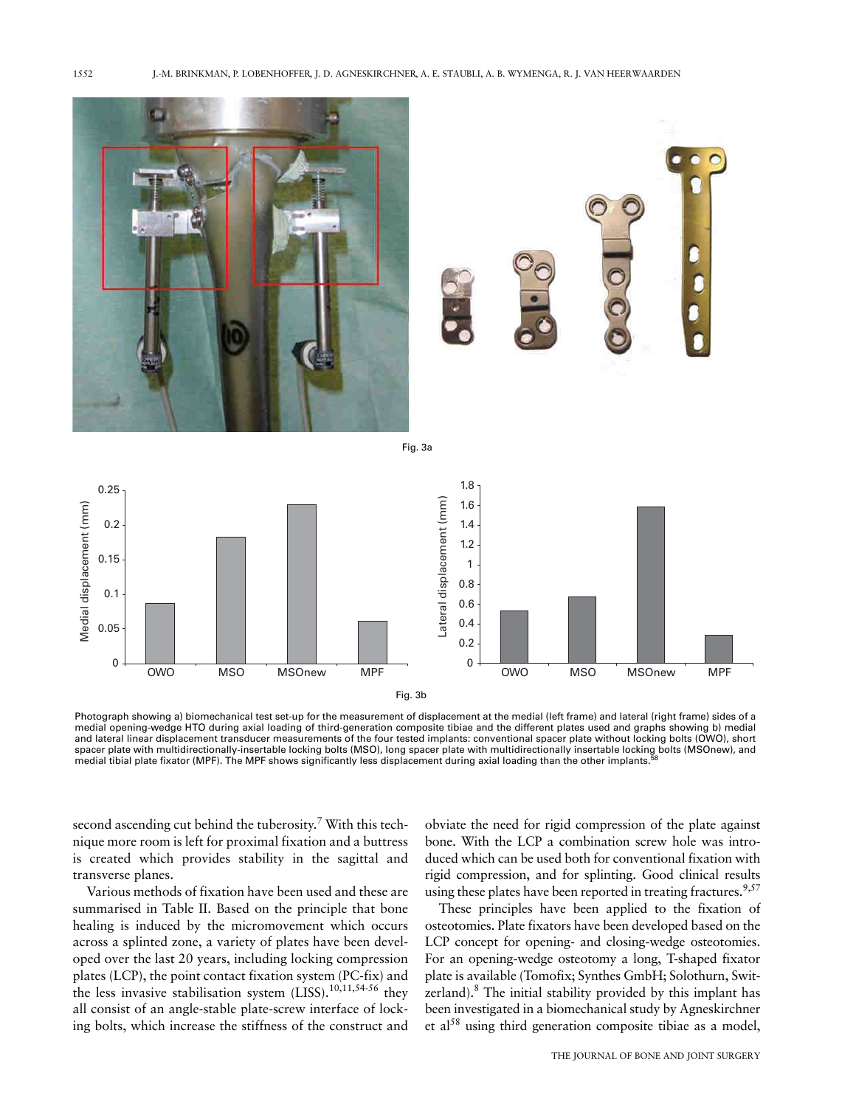

Photograph showing a) biomechanical test set-up for the measurement of displacement at the medial (left frame) and lateral (right frame) sides of a medial opening-wedge HTO during axial loading of third-generation composite tibiae and the different plates used and graphs showing b) medial and lateral linear displacement transducer measurements of the four tested implants: conventional spacer plate without locking bolts (OWO), short spacer plate with multidirectionally-insertable locking bolts (MSO), long spacer plate with multidirectionally insertable locking bolts (MSOnew), and medial tibial plate fixator (MPF). The MPF shows significantly less displacement during axial loading than the other implants.

second ascending cut behind the tuberosity.<sup>7</sup> With this technique more room is left for proximal fixation and a buttress is created which provides stability in the sagittal and transverse planes.

Various methods of fixation have been used and these are summarised in Table II. Based on the principle that bone healing is induced by the micromovement which occurs across a splinted zone, a variety of plates have been developed over the last 20 years, including locking compression plates (LCP), the point contact fixation system (PC-fix) and the less invasive stabilisation system  $(LISS)$ .<sup>10,11,54-56</sup> they all consist of an angle-stable plate-screw interface of locking bolts, which increase the stiffness of the construct and

obviate the need for rigid compression of the plate against bone. With the LCP a combination screw hole was introduced which can be used both for conventional fixation with rigid compression, and for splinting. Good clinical results using these plates have been reported in treating fractures.<sup>9,57</sup>

These principles have been applied to the fixation of osteotomies. Plate fixators have been developed based on the LCP concept for opening- and closing-wedge osteotomies. For an opening-wedge osteotomy a long, T-shaped fixator plate is available (Tomofix; Synthes GmbH; Solothurn, Switzerland).<sup>8</sup> The initial stability provided by this implant has been investigated in a biomechanical study by Agneskirchner et al<sup>58</sup> using third generation composite tibiae as a model,

1552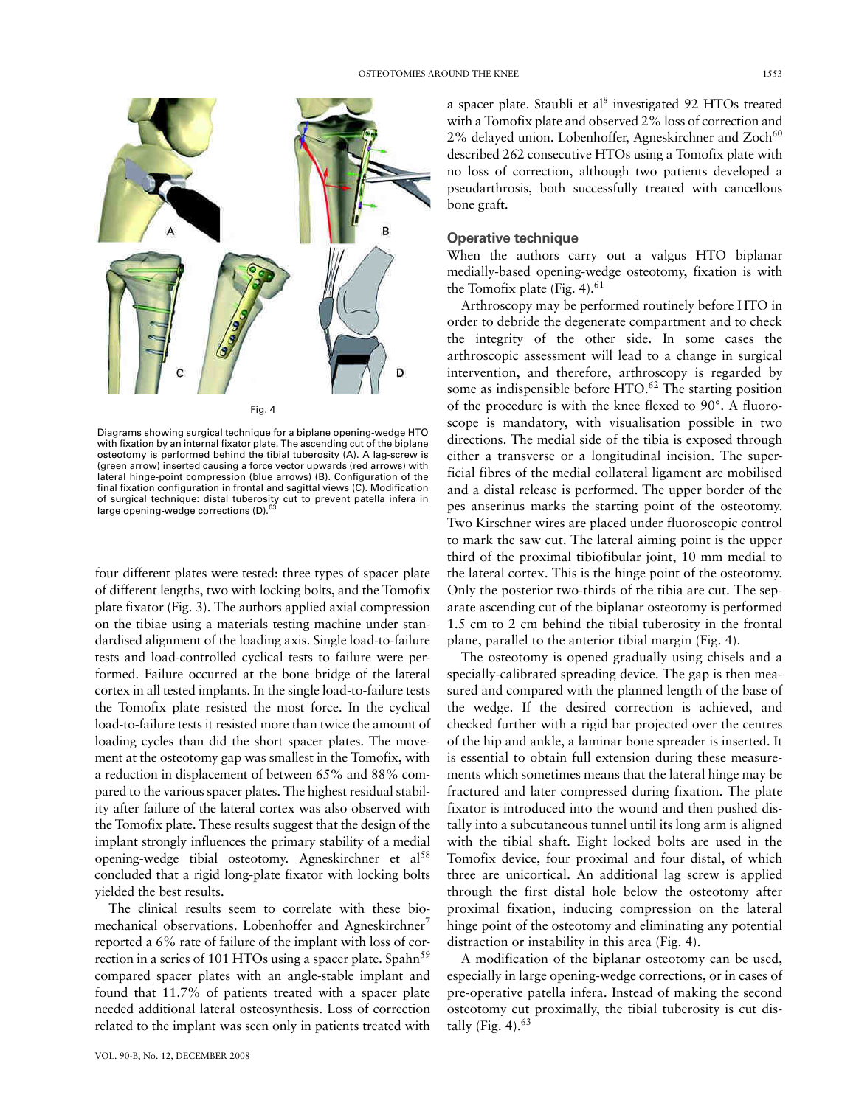

Diagrams showing surgical technique for a biplane opening-wedge HTO with fixation by an internal fixator plate. The ascending cut of the biplane osteotomy is performed behind the tibial tuberosity (A). A lag-screw is (green arrow) inserted causing a force vector upwards (red arrows) with lateral hinge-point compression (blue arrows) (B). Configuration of the final fixation configuration in frontal and sagittal views (C). Modification of surgical technique: distal tuberosity cut to prevent patella infera in large opening-wedge corrections (D).<sup>6</sup>

four different plates were tested: three types of spacer plate of different lengths, two with locking bolts, and the Tomofix plate fixator (Fig. 3). The authors applied axial compression on the tibiae using a materials testing machine under standardised alignment of the loading axis. Single load-to-failure tests and load-controlled cyclical tests to failure were performed. Failure occurred at the bone bridge of the lateral cortex in all tested implants. In the single load-to-failure tests the Tomofix plate resisted the most force. In the cyclical load-to-failure tests it resisted more than twice the amount of loading cycles than did the short spacer plates. The movement at the osteotomy gap was smallest in the Tomofix, with a reduction in displacement of between 65% and 88% compared to the various spacer plates. The highest residual stability after failure of the lateral cortex was also observed with the Tomofix plate. These results suggest that the design of the implant strongly influences the primary stability of a medial opening-wedge tibial osteotomy. Agneskirchner et al<sup>58</sup> concluded that a rigid long-plate fixator with locking bolts yielded the best results.

The clinical results seem to correlate with these biomechanical observations. Lobenhoffer and Agneskirchner<sup>7</sup> reported a 6% rate of failure of the implant with loss of correction in a series of 101 HTOs using a spacer plate. Spahn<sup>59</sup> compared spacer plates with an angle-stable implant and found that 11.7% of patients treated with a spacer plate needed additional lateral osteosynthesis. Loss of correction related to the implant was seen only in patients treated with a spacer plate. Staubli et al<sup>8</sup> investigated 92 HTOs treated with a Tomofix plate and observed 2% loss of correction and 2% delayed union. Lobenhoffer, Agneskirchner and Zoch<sup>60</sup> described 262 consecutive HTOs using a Tomofix plate with no loss of correction, although two patients developed a pseudarthrosis, both successfully treated with cancellous bone graft.

### **Operative technique**

When the authors carry out a valgus HTO biplanar medially-based opening-wedge osteotomy, fixation is with the Tomofix plate (Fig. 4). $61$ 

Arthroscopy may be performed routinely before HTO in order to debride the degenerate compartment and to check the integrity of the other side. In some cases the arthroscopic assessment will lead to a change in surgical intervention, and therefore, arthroscopy is regarded by some as indispensible before HTO.<sup>62</sup> The starting position of the procedure is with the knee flexed to 90°. A fluoroscope is mandatory, with visualisation possible in two directions. The medial side of the tibia is exposed through either a transverse or a longitudinal incision. The superficial fibres of the medial collateral ligament are mobilised and a distal release is performed. The upper border of the pes anserinus marks the starting point of the osteotomy. Two Kirschner wires are placed under fluoroscopic control to mark the saw cut. The lateral aiming point is the upper third of the proximal tibiofibular joint, 10 mm medial to the lateral cortex. This is the hinge point of the osteotomy. Only the posterior two-thirds of the tibia are cut. The separate ascending cut of the biplanar osteotomy is performed 1.5 cm to 2 cm behind the tibial tuberosity in the frontal plane, parallel to the anterior tibial margin (Fig. 4).

The osteotomy is opened gradually using chisels and a specially-calibrated spreading device. The gap is then measured and compared with the planned length of the base of the wedge. If the desired correction is achieved, and checked further with a rigid bar projected over the centres of the hip and ankle, a laminar bone spreader is inserted. It is essential to obtain full extension during these measurements which sometimes means that the lateral hinge may be fractured and later compressed during fixation. The plate fixator is introduced into the wound and then pushed distally into a subcutaneous tunnel until its long arm is aligned with the tibial shaft. Eight locked bolts are used in the Tomofix device, four proximal and four distal, of which three are unicortical. An additional lag screw is applied through the first distal hole below the osteotomy after proximal fixation, inducing compression on the lateral hinge point of the osteotomy and eliminating any potential distraction or instability in this area (Fig. 4).

A modification of the biplanar osteotomy can be used, especially in large opening-wedge corrections, or in cases of pre-operative patella infera. Instead of making the second osteotomy cut proximally, the tibial tuberosity is cut distally (Fig. 4). $63$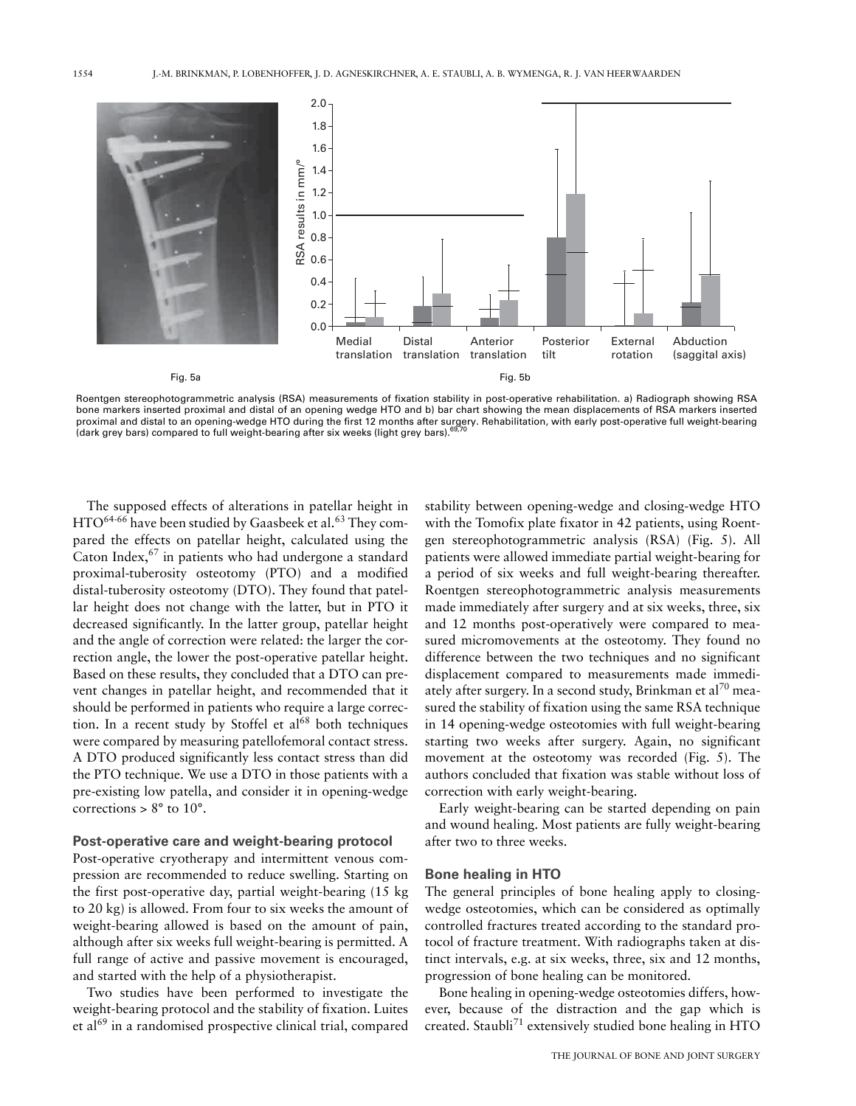

Roentgen stereophotogrammetric analysis (RSA) measurements of fixation stability in post-operative rehabilitation. a) Radiograph showing RSA bone markers inserted proximal and distal of an opening wedge HTO and b) bar chart showing the mean displacements of RSA markers inserted proximal and distal to an opening-wedge HTO during the first 12 months after surgery. Rehabilitation, with early post-operative full weight-bearing<br>(dark grey bars) compared to full weight-bearing after six weeks (light gr

The supposed effects of alterations in patellar height in HTO<sup>64-66</sup> have been studied by Gaasbeek et al.<sup>63</sup> They compared the effects on patellar height, calculated using the Caton Index,  $67$  in patients who had undergone a standard proximal-tuberosity osteotomy (PTO) and a modified distal-tuberosity osteotomy (DTO). They found that patellar height does not change with the latter, but in PTO it decreased significantly. In the latter group, patellar height and the angle of correction were related: the larger the correction angle, the lower the post-operative patellar height. Based on these results, they concluded that a DTO can prevent changes in patellar height, and recommended that it should be performed in patients who require a large correction. In a recent study by Stoffel et al<sup>68</sup> both techniques were compared by measuring patellofemoral contact stress. A DTO produced significantly less contact stress than did the PTO technique. We use a DTO in those patients with a pre-existing low patella, and consider it in opening-wedge corrections >  $8^{\circ}$  to  $10^{\circ}$ .

#### Post-operative care and weight-bearing protocol

Post-operative cryotherapy and intermittent venous compression are recommended to reduce swelling. Starting on the first post-operative day, partial weight-bearing (15 kg) to 20 kg) is allowed. From four to six weeks the amount of weight-bearing allowed is based on the amount of pain, although after six weeks full weight-bearing is permitted. A full range of active and passive movement is encouraged, and started with the help of a physiotherapist.

Two studies have been performed to investigate the weight-bearing protocol and the stability of fixation. Luites et al<sup>69</sup> in a randomised prospective clinical trial, compared

stability between opening-wedge and closing-wedge HTO with the Tomofix plate fixator in 42 patients, using Roentgen stereophotogrammetric analysis (RSA) (Fig. 5). All patients were allowed immediate partial weight-bearing for a period of six weeks and full weight-bearing thereafter. Roentgen stereophotogrammetric analysis measurements made immediately after surgery and at six weeks, three, six and 12 months post-operatively were compared to measured micromovements at the osteotomy. They found no difference between the two techniques and no significant displacement compared to measurements made immediately after surgery. In a second study, Brinkman et al<sup>70</sup> measured the stability of fixation using the same RSA technique in 14 opening-wedge osteotomies with full weight-bearing starting two weeks after surgery. Again, no significant movement at the osteotomy was recorded (Fig. 5). The authors concluded that fixation was stable without loss of correction with early weight-bearing.

Early weight-bearing can be started depending on pain and wound healing. Most patients are fully weight-bearing after two to three weeks.

#### **Bone healing in HTO**

The general principles of bone healing apply to closingwedge osteotomies, which can be considered as optimally controlled fractures treated according to the standard protocol of fracture treatment. With radiographs taken at distinct intervals, e.g. at six weeks, three, six and 12 months, progression of bone healing can be monitored.

Bone healing in opening-wedge osteotomies differs, however, because of the distraction and the gap which is created. Staubli<sup>71</sup> extensively studied bone healing in HTO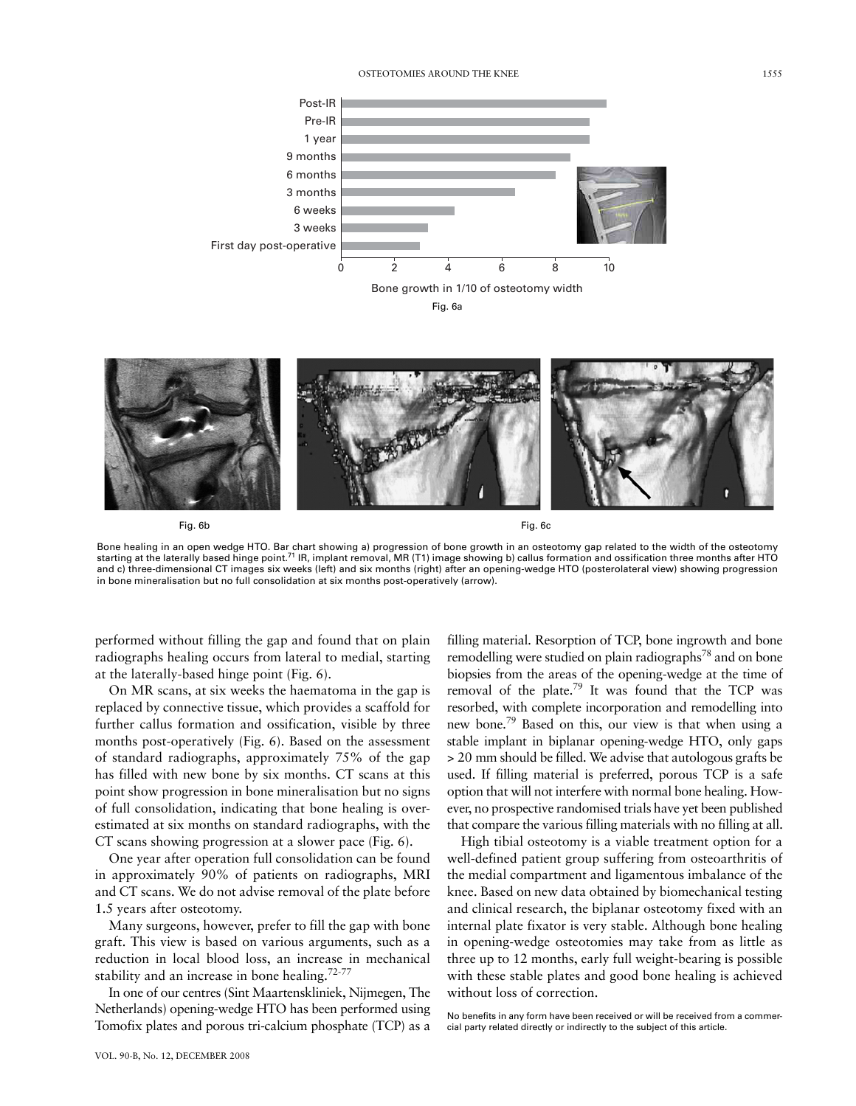





Fig. 6b

Fig. 6c

Bone healing in an open wedge HTO. Bar chart showing a) progression of bone growth in an osteotomy gap related to the width of the osteotomy<br>starting at the laterally based hinge point.<sup>71</sup> IR, implant removal, MR (T1) ima and c) three-dimensional CT images six weeks (left) and six months (right) after an opening-wedge HTO (posterolateral view) showing progression in bone mineralisation but no full consolidation at six months post-operatively (arrow).

performed without filling the gap and found that on plain radiographs healing occurs from lateral to medial, starting at the laterally-based hinge point (Fig. 6).

On MR scans, at six weeks the haematoma in the gap is replaced by connective tissue, which provides a scaffold for further callus formation and ossification, visible by three months post-operatively (Fig. 6). Based on the assessment of standard radiographs, approximately 75% of the gap has filled with new bone by six months. CT scans at this point show progression in bone mineralisation but no signs of full consolidation, indicating that bone healing is overestimated at six months on standard radiographs, with the CT scans showing progression at a slower pace (Fig. 6).

One year after operation full consolidation can be found in approximately 90% of patients on radiographs, MRI and CT scans. We do not advise removal of the plate before 1.5 years after osteotomy.

Many surgeons, however, prefer to fill the gap with bone graft. This view is based on various arguments, such as a reduction in local blood loss, an increase in mechanical stability and an increase in bone healing.<sup>72-77</sup>

In one of our centres (Sint Maartenskliniek, Nijmegen, The Netherlands) opening-wedge HTO has been performed using Tomofix plates and porous tri-calcium phosphate (TCP) as a

filling material. Resorption of TCP, bone ingrowth and bone remodelling were studied on plain radiographs<sup>78</sup> and on bone biopsies from the areas of the opening-wedge at the time of removal of the plate.<sup>79</sup> It was found that the TCP was resorbed, with complete incorporation and remodelling into new bone.<sup>79</sup> Based on this, our view is that when using a stable implant in biplanar opening-wedge HTO, only gaps > 20 mm should be filled. We advise that autologous grafts be used. If filling material is preferred, porous TCP is a safe option that will not interfere with normal bone healing. However, no prospective randomised trials have yet been published that compare the various filling materials with no filling at all.

High tibial osteotomy is a viable treatment option for a well-defined patient group suffering from osteoarthritis of the medial compartment and ligamentous imbalance of the knee. Based on new data obtained by biomechanical testing and clinical research, the biplanar osteotomy fixed with an internal plate fixator is very stable. Although bone healing in opening-wedge osteotomies may take from as little as three up to 12 months, early full weight-bearing is possible with these stable plates and good bone healing is achieved without loss of correction.

No benefits in any form have been received or will be received from a commercial party related directly or indirectly to the subject of this article.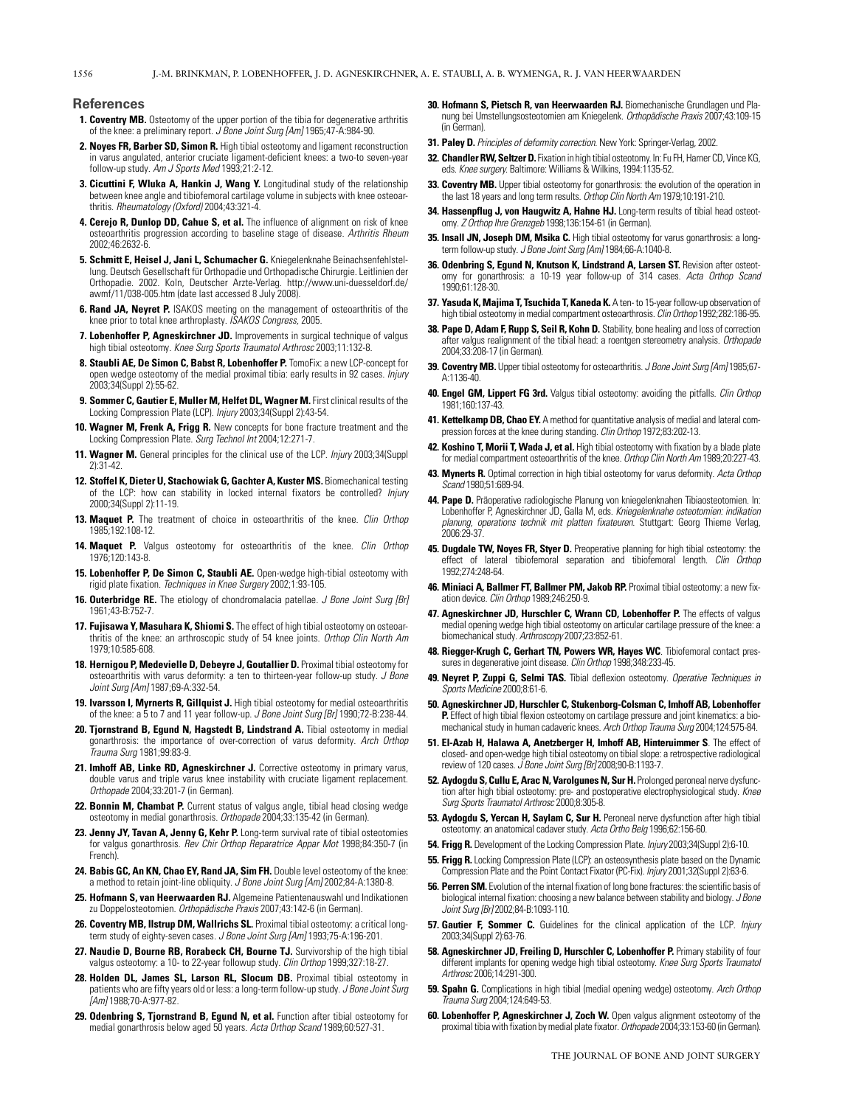#### **References**

- 1. Coventry MB. Osteotomy of the upper portion of the tibia for degenerative arthritis of the knee: a preliminary report. J Bone Joint Surg [Am] 1965;47-A:984-90.
- 2. Noyes FR, Barber SD, Simon R. High tibial osteotomy and ligament reconstruction in varus angulated, anterior cruciate ligament-deficient knees: a two-to seven-year follow-up study. Am J Sports Med 1993;21:2-12.
- 3. Cicuttini F, Wluka A, Hankin J, Wang Y. Longitudinal study of the relationship between knee angle and tibiofemoral cartilage volume in subjects with knee osteoarthritis. Rheumatology (Oxford) 2004;43:321-4.
- 4. Cerejo R, Dunlop DD, Cahue S, et al. The influence of alignment on risk of knee osteoarthritis progression according to baseline stage of disease. Arthritis Rheum 2002:46:2632-6
- 5. Schmitt E, Heisel J, Jani L, Schumacher G. Kniegelenknahe Beinachsenfehlstellung. Deutsch Gesellschaft für Orthopadie und Orthopadische Chirurgie. Leitlinien der Orthopadie. 2002. Koln, Deutscher Arzte-Verlag. http://www.uni-duesseldorf.de/ awmf/11/038-005.htm (date last accessed 8 July 2008).
- 6. Rand JA, Neyret P. ISAKOS meeting on the management of osteoarthritis of the knee prior to total knee arthroplasty. ISAKOS Congress, 2005.
- 7. Lobenhoffer P, Agneskirchner JD. Improvements in surgical technique of valgus high tibial osteotomy. Knee Surg Sports Traumatol Arthrosc 2003;11:132-8.
- 8. Staubli AE, De Simon C, Babst R, Lobenhoffer P. TomoFix: a new LCP-concept for open wedge osteotomy of the medial proximal tibia: early results in 92 cases. Injury 2003;34(Suppl 2):55-62.
- 9. Sommer C, Gautier E, Muller M, Helfet DL, Wagner M. First clinical results of the Locking Compression Plate (LCP). Injury 2003;34(Suppl 2):43-54.
- 10. Wagner M, Frenk A, Frigg R. New concepts for bone fracture treatment and the Locking Compression Plate. Surg Technol Int 2004;12:271-7.
- 11. Wagner M. General principles for the clinical use of the LCP. Injury 2003;34(Suppl  $2$ :31-42
- 12. Stoffel K, Dieter U, Stachowiak G, Gachter A, Kuster MS. Biomechanical testing of the LCP: how can stability in locked internal fixators be controlled? Injury 2000;34(Suppl 2):11-19.
- 13. Maquet P. The treatment of choice in osteoarthritis of the knee. Clin Orthop 1985:192:108-12
- 14. Maquet P. Valgus osteotomy for osteoarthritis of the knee. Clin Orthop 1976 120 143-8
- 15. Lobenhoffer P, De Simon C, Staubli AE. Open-wedge high-tibial osteotomy with rigid plate fixation. Techniques in Knee Surgery 2002;1:93-105.
- 16. Outerbridge RE. The etiology of chondromalacia patellae. J Bone Joint Surg [Br] 1961:43-B:752-7
- 17. Fujisawa Y, Masuhara K, Shiomi S. The effect of high tibial osteotomy on osteoarthritis of the knee: an arthroscopic study of 54 knee joints. Orthop Clin North Am 1979:10:585-608
- 18. Hernigou P, Medevielle D, Debeyre J, Goutallier D. Proximal tibial osteotomy for osteoarthritis with varus deformity: a ten to thirteen-year follow-up study. J Bone Joint Surg [Am] 1987;69-A:332-54.
- 19. Ivarsson I, Myrnerts R, Gillquist J. High tibial osteotomy for medial osteoarthritis of the knee: a 5 to 7 and 11 year follow-up. J Bone Joint Surg [Br] 1990;72-B:238-44.
- 20. Tjornstrand B, Egund N, Hagstedt B, Lindstrand A. Tibial osteotomy in medial gonarthrosis: the importance of over-correction of varus deformity. Arch Orthop Trauma Sura 1981:99:83-9.
- 21. Imhoff AB, Linke RD, Agneskirchner J. Corrective osteotomy in primary varus, double varus and triple varus knee instability with cruciate ligament replacement. Orthopade 2004;33:201-7 (in German).
- 22. Bonnin M, Chambat P. Current status of valgus angle, tibial head closing wedge osteotomy in medial gonarthrosis. Orthopade 2004;33:135-42 (in German).
- 23. Jenny JY, Tavan A, Jenny G, Kehr P. Long-term survival rate of tibial osteotomies for valgus gonarthrosis. Rev Chir Orthop Reparatrice Appar Mot 1998;84:350-7 (in French).
- 24. Babis GC, An KN, Chao EY, Rand JA, Sim FH. Double level osteotomy of the knee: a method to retain joint-line obliquity. J Bone Joint Surg [Am] 2002;84-A:1380-8.
- 25. Hofmann S, van Heerwaarden RJ. Algemeine Patientenauswahl und Indikationen zu Doppelosteotomien. Orthopädische Praxis 2007;43:142-6 (in German).
- 26. Coventry MB, Ilstrup DM, Wallrichs SL. Proximal tibial osteotomy: a critical longterm study of eighty-seven cases. J Bone Joint Surg [Am] 1993;75-A:196-201.
- 27. Naudie D, Bourne RB, Rorabeck CH, Bourne TJ. Survivorship of the high tibial valgus osteotomy: a 10- to 22-year followup study. Clin Orthop 1999;327:18-27.
- 28. Holden DL, James SL, Larson RL, Slocum DB. Proximal tibial osteotomy in patients who are fifty years old or less: a long-term follow-up study. J Bone Joint Surg [Am] 1988;70-A:977-82.
- 29. Odenbring S, Tjornstrand B, Egund N, et al. Function after tibial osteotomy for medial gonarthrosis below aged 50 years. Acta Orthop Scand 1989;60:527-31.
- 30. Hofmann S. Pietsch R. van Heerwaarden RJ. Biomechanische Grundlagen und Planung bei Umstellungsosteotomien am Kniegelenk. Orthopädische Praxis 2007;43:109-15 (in German).
- 31. Paley D. Principles of deformity correction. New York: Springer-Verlag, 2002.
- 32. Chandler RW, Seltzer D. Fixation in high tibial osteotomy. In: Fu FH, Harner CD, Vince KG, eds. Knee surgery. Baltimore: Williams & Wilkins, 1994:1135-52
- 33. Coventry MB. Upper tibial osteotomy for gonarthrosis: the evolution of the operation in the last 18 years and long term results. Orthop Clin North Am 1979:10:191-210
- 34. Hassenpflug J, von Haugwitz A, Hahne HJ. Long-term results of tibial head osteotomy. Z Orthop Ihre Grenzgeb 1998;136:154-61 (in German).
- 35. Insall JN, Joseph DM, Msika C. High tibial osteotomy for varus gonarthrosis: a longterm follow-up study. J Bone Joint Surg [Am] 1984;66-A:1040-8
- 36. Odenbring S, Eqund N, Knutson K, Lindstrand A, Larsen ST. Revision after osteotomy for gonarthrosis: a 10-19 year follow-up of 314 cases. Acta Orthop Scand 1990;61:128-30.
- 37. Yasuda K, Majima T, Tsuchida T, Kaneda K. A ten-to 15-year follow-up observation of high tibial osteotomy in medial compartment osteoarthrosis. Clin Orthop 1992:282:186-95.
- 38. Pape D, Adam F, Rupp S, Seil R, Kohn D. Stability, bone healing and loss of correction after valgus realignment of the tibial head: a roentgen stereometry analysis. Orthopade 2004:33:208-17 (in German).
- 39. Coventry MB. Upper tibial osteotomy for osteoarthritis. J Bone Joint Surg [Am] 1985;67-A:1136-40.
- 40. Engel GM, Lippert FG 3rd. Valgus tibial osteotomy: avoiding the pitfalls. Clin Orthop 1981:160:137-43
- 41. Kettelkamp DB, Chao EY. A method for quantitative analysis of medial and lateral compression forces at the knee during standing. Clin Orthop 1972;83:202-13.
- 42. Koshino T, Morii T, Wada J, et al. High tibial osteotomy with fixation by a blade plate for medial compartment osteoarthritis of the knee. Orthop Clin North Am 1989;20:227-43.
- 43. Mynerts R. Optimal correction in high tibial osteotomy for varus deformity. Acta Orthop cand 1980;51:689-94.
- 44. Pape D. Präoperative radiologische Planung von kniegelenknahen Tibiaosteotomien. In: Lobenhoffer P, Agneskirchner JD, Galla M, eds. Kniegelenknahe osteotomien: indikation planung, operations technik mit platten fixateuren. Stuttgart: Georg Thieme Verlag, 2006:29-37
- 45. Dugdale TW, Noyes FR, Styer D. Preoperative planning for high tibial osteotomy: the effect of lateral tibiofemoral separation and tibiofemoral length. Clin Orthop 1992:274:248-64
- 46. Miniaci A, Ballmer FT, Ballmer PM, Jakob RP. Proximal tibial osteotomy: a new fixation device. Clin Orthop 1989;246:250-9.
- 47. Agneskirchner JD. Hurschler C. Wrann CD. Lobenhoffer P. The effects of valous medial opening wedge high tibial osteotomy on articular cartilage pressure of the knee: a biomechanical study. Arthroscopy 2007;23:852-61.
- 48. Riegger-Krugh C, Gerhart TN, Powers WR, Hayes WC. Tibiofemoral contact pressures in degenerative joint disease. Clin Orthop 1998;348:233-45.
- 49. Neyret P, Zuppi G, Selmi TAS. Tibial deflexion osteotomy. Operative Techniques in Sports Medicine 2000;8:61-6.
- 50. Agneskirchner JD, Hurschler C, Stukenborg-Colsman C, Imhoff AB, Lobenhoffer P. Effect of high tibial flexion osteotomy on cartilage pressure and joint kinematics: a biomechanical study in human cadaveric knees. Arch Orthop Trauma Surg 2004;124:575-84.
- 51. El-Azab H, Halawa A, Anetzberger H, Imhoff AB, Hinteruimmer S. The effect of closed- and open-wedge high tibial osteotomy on tibial slope: a retrospective radiological review of 120 cases. J Bone Joint Surg [Br] 2008;90-B:1193-7.
- 52. Aydogdu S, Cullu E, Arac N, Varolgunes N, Sur H. Prolonged peroneal nerve dysfunction after high tibial osteotomy: pre- and postoperative electrophysiological study. Knee Surg Sports Traumatol Arthrosc 2000;8:305-8.
- 53. Aydogdu S, Yercan H, Saylam C, Sur H. Peroneal nerve dysfunction after high tibial osteotomy: an anatomical cadaver study. Acta Ortho Belg 1996;62:156-60.
- 54. Frigg R. Development of the Locking Compression Plate. Injury 2003;34(Suppl 2):6-10.
- 55. Frigg R. Locking Compression Plate (LCP): an osteosynthesis plate based on the Dynamic Compression Plate and the Point Contact Fixator (PC-Fix). Injury 2001;32(Suppl 2):63-6.
- 56. Perren SM. Evolution of the internal fixation of long bone fractures: the scientific basis of biological internal fixation: choosing a new balance between stability and biology. J Bone Joint Surg [Br] 2002;84-B:1093-110.
- 57. Gautier F, Sommer C. Guidelines for the clinical application of the LCP. Injury 2003;34(Suppl 2):63-76.
- 58. Agneskirchner JD, Freiling D, Hurschler C, Lobenhoffer P. Primary stability of four different implants for opening wedge high tibial osteotomy. Knee Surg Sports Traumatol Arthrosc 2006;14:291-300.
- 59. Spahn G. Complications in high tibial (medial opening wedge) osteotomy. Arch Orthop Trauma Surg 2004;124:649-53.
- 60. Lobenhoffer P, Agneskirchner J, Zoch W. Open valgus alignment osteotomy of the proximal tibia with fixation by medial plate fixator. Orthopade 2004;33:153-60 (in German).